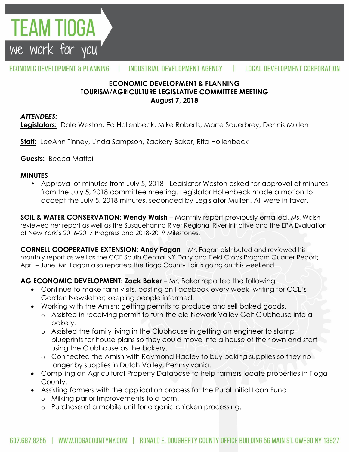

#### ECONOMIC DEVELOPMENT & PLANNING INDUSTRIAL DEVELOPMENT AGENCY т. **LOCAL DEVELOPMENT CORPORATION**

## **ECONOMIC DEVELOPMENT & PLANNING TOURISM/AGRICULTURE LEGISLATIVE COMMITTEE MEETING August 7, 2018**

### *ATTENDEES:*

**Legislators:** Dale Weston, Ed Hollenbeck, Mike Roberts, Marte Sauerbrey, Dennis Mullen

**Staff:** LeeAnn Tinney, Linda Sampson, Zackary Baker, Rita Hollenbeck

**Guests:** Becca Maffei

### **MINUTES**

• Approval of minutes from July 5, 2018 - Legislator Weston asked for approval of minutes from the July 5, 2018 committee meeting. Legislator Hollenbeck made a motion to accept the July 5, 2018 minutes, seconded by Legislator Mullen. All were in favor.

**SOIL & WATER CONSERVATION: Wendy Walsh** – Monthly report previously emailed. Ms. Walsh reviewed her report as well as the Susquehanna River Regional River Initiative and the EPA Evaluation of New York's 2016-2017 Progress and 2018-2019 Milestones.

**CORNELL COOPERATIVE EXTENSION: Andy Fagan** – Mr. Fagan distributed and reviewed his monthly report as well as the CCE South Central NY Dairy and Field Crops Program Quarter Report; April – June. Mr. Fagan also reported the Tioga County Fair is going on this weekend.

**AG ECONOMIC DEVELOPMENT: Zack Baker** – Mr. Baker reported the following:

- Continue to make farm visits, posting on Facebook every week, writing for CCE's Garden Newsletter; keeping people informed.
- Working with the Amish; getting permits to produce and sell baked goods.
	- o Assisted in receiving permit to turn the old Newark Valley Golf Clubhouse into a bakery.
	- o Assisted the family living in the Clubhouse in getting an engineer to stamp blueprints for house plans so they could move into a house of their own and start using the Clubhouse as the bakery.
	- o Connected the Amish with Raymond Hadley to buy baking supplies so they no longer by supplies in Dutch Valley, Pennsylvania.
- Compiling an Agricultural Property Database to help farmers locate properties in Tioga County.
- Assisting farmers with the application process for the Rural Initial Loan Fund
	- o Milking parlor Improvements to a barn.
	- o Purchase of a mobile unit for organic chicken processing.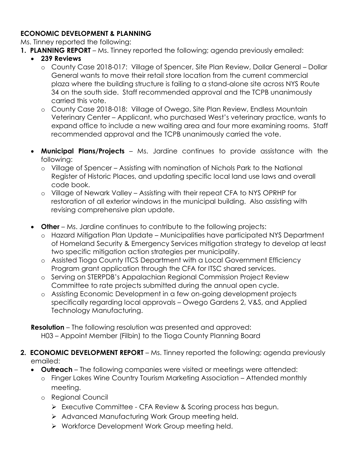## **ECONOMIC DEVELOPMENT & PLANNING**

Ms. Tinney reported the following:

- **1. PLANNING REPORT** Ms. Tinney reported the following; agenda previously emailed:
	- **239 Reviews**
		- o County Case 2018-017: Village of Spencer, Site Plan Review, Dollar General Dollar General wants to move their retail store location from the current commercial plaza where the building structure is failing to a stand-alone site across NYS Route 34 on the south side. Staff recommended approval and the TCPB unanimously carried this vote.
		- o County Case 2018-018: Village of Owego, Site Plan Review, Endless Mountain Veterinary Center – Applicant, who purchased West's veterinary practice, wants to expand office to include a new waiting area and four more examining rooms. Staff recommended approval and the TCPB unanimously carried the vote.
	- **Municipal Plans/Projects**  Ms. Jardine continues to provide assistance with the following:
		- o Village of Spencer Assisting with nomination of Nichols Park to the National Register of Historic Places, and updating specific local land use laws and overall code book.
		- o Village of Newark Valley Assisting with their repeat CFA to NYS OPRHP for restoration of all exterior windows in the municipal building. Also assisting with revising comprehensive plan update.
	- **Other** Ms. Jardine continues to contribute to the following projects:
		- o Hazard Mitigation Plan Update Municipalities have participated NYS Department of Homeland Security & Emergency Services mitigation strategy to develop at least two specific mitigation action strategies per municipality.
		- o Assisted Tioga County ITCS Department with a Local Government Efficiency Program grant application through the CFA for ITSC shared services.
		- o Serving on STERPDB's Appalachian Regional Commission Project Review Committee to rate projects submitted during the annual open cycle.
		- o Assisting Economic Development in a few on-going development projects specifically regarding local approvals – Owego Gardens 2, V&S, and Applied Technology Manufacturing.

**Resolution** – The following resolution was presented and approved: H03 – Appoint Member (Filbin) to the Tioga County Planning Board

- **2. ECONOMIC DEVELOPMENT REPORT** Ms. Tinney reported the following; agenda previously emailed:
	- **Outreach**  The following companies were visited or meetings were attended:
		- o Finger Lakes Wine Country Tourism Marketing Association Attended monthly meeting.
		- o Regional Council
			- Executive Committee CFA Review & Scoring process has begun.
			- > Advanced Manufacturing Work Group meeting held.
			- ▶ Workforce Development Work Group meeting held.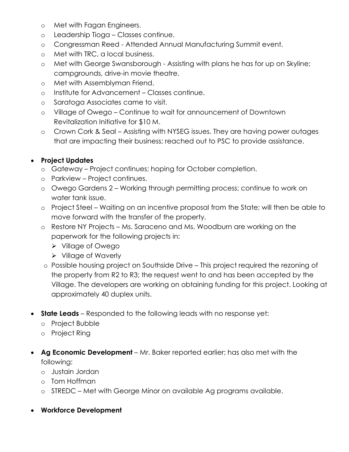- o Met with Fagan Engineers.
- o Leadership Tioga Classes continue.
- o Congressman Reed Attended Annual Manufacturing Summit event.
- o Met with TRC, a local business.
- o Met with George Swansborough Assisting with plans he has for up on Skyline; campgrounds, drive-in movie theatre.
- o Met with Assemblyman Friend.
- o Institute for Advancement Classes continue.
- o Saratoga Associates came to visit.
- o Village of Owego Continue to wait for announcement of Downtown Revitalization Initiative for \$10 M.
- o Crown Cork & Seal Assisting with NYSEG issues. They are having power outages that are impacting their business; reached out to PSC to provide assistance.

# **Project Updates**

- o Gateway Project continues; hoping for October completion.
- o Parkview Project continues.
- o Owego Gardens 2 Working through permitting process; continue to work on water tank issue.
- o Project Steel Waiting on an incentive proposal from the State; will then be able to move forward with the transfer of the property.
- o Restore NY Projects Ms. Saraceno and Ms. Woodburn are working on the paperwork for the following projects in:
	- Village of Owego
	- $\triangleright$  Village of Waverly
- o Possible housing project on Southside Drive This project required the rezoning of the property from R2 to R3; the request went to and has been accepted by the Village. The developers are working on obtaining funding for this project. Looking at approximately 40 duplex units.
- **State Leads** Responded to the following leads with no response yet:
	- o Project Bubble
	- o Project Ring
- **Ag Economic Development** Mr. Baker reported earlier; has also met with the following:
	- o Justain Jordan
	- o Tom Hoffman
	- o STREDC Met with George Minor on available Ag programs available.
- **Workforce Development**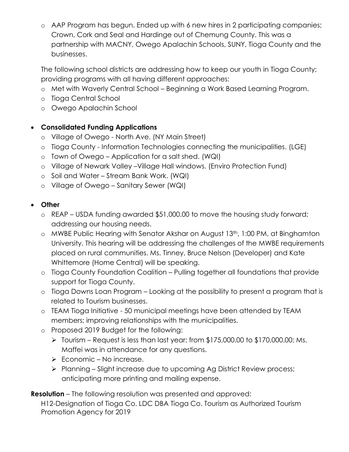o AAP Program has begun. Ended up with 6 new hires in 2 participating companies; Crown, Cork and Seal and Hardinge out of Chemung County. This was a partnership with MACNY, Owego Apalachin Schools, SUNY, Tioga County and the businesses.

The following school districts are addressing how to keep our youth in Tioga County; providing programs with all having different approaches:

- o Met with Waverly Central School Beginning a Work Based Learning Program.
- o Tioga Central School
- o Owego Apalachin School

# **Consolidated Funding Applications**

- o Village of Owego North Ave. (NY Main Street)
- o Tioga County Information Technologies connecting the municipalities. (LGE)
- o Town of Owego Application for a salt shed. (WQI)
- o Village of Newark Valley –Village Hall windows. (Enviro Protection Fund)
- o Soil and Water Stream Bank Work. (WQI)
- o Village of Owego Sanitary Sewer (WQI)

# **Other**

- o REAP USDA funding awarded \$51,000.00 to move the housing study forward; addressing our housing needs.
- o MWBE Public Hearing with Senator Akshar on August 13th, 1:00 PM, at Binghamton University. This hearing will be addressing the challenges of the MWBE requirements placed on rural communities. Ms. Tinney, Bruce Nelson (Developer) and Kate Whittemore (Home Central) will be speaking.
- o Tioga County Foundation Coalition Pulling together all foundations that provide support for Tioga County.
- o Tioga Downs Loan Program Looking at the possibility to present a program that is related to Tourism businesses.
- o TEAM Tioga Initiative 50 municipal meetings have been attended by TEAM members; improving relationships with the municipalities.
- o Proposed 2019 Budget for the following:
	- $\triangleright$  Tourism Request is less than last year; from \$175,000.00 to \$170,000.00; Ms. Maffei was in attendance for any questions.
	- $\triangleright$  Economic No increase.
	- Planning Slight increase due to upcoming Ag District Review process; anticipating more printing and mailing expense.

**Resolution** – The following resolution was presented and approved:

H12-Designation of Tioga Co. LDC DBA Tioga Co. Tourism as Authorized Tourism Promotion Agency for 2019